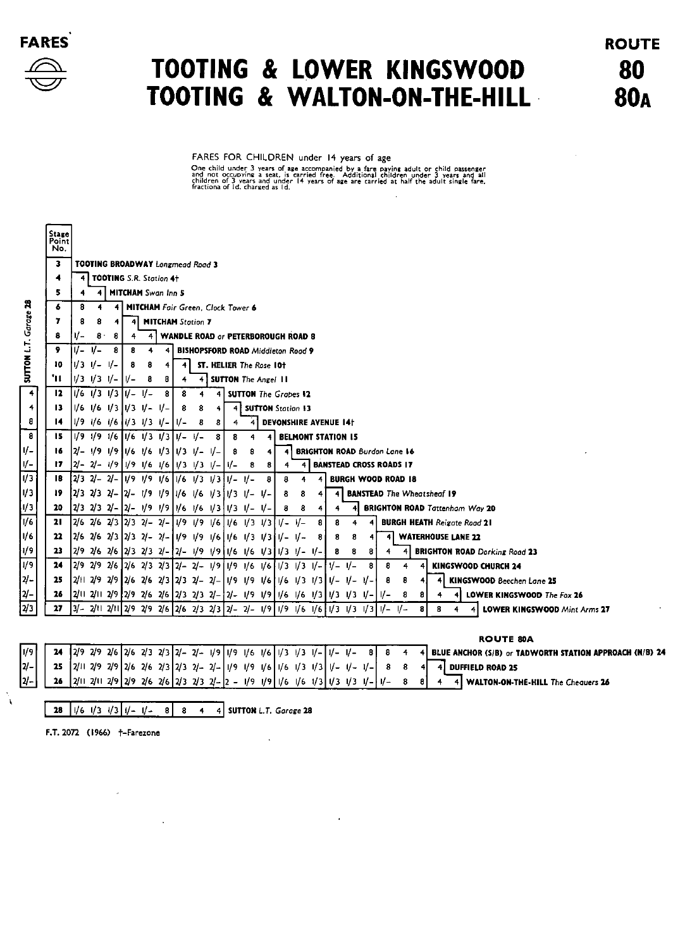

## TOOTING & LOWER KINGSWOOD TOOTING & WALTON-ON-THE-HILL

**ROUTE** 80 **80A** 

FARES FOR CHILDREN under 14 years of age One child under 3 years of age accompanied by a fare paying adult or child passenger<br>and not occupying a seat, is carried free. Additional children under 3 years and all<br>children of 3 years and under 14 years of age are ca

|                    | <b>Stage</b><br>Point<br>No. |                                                                               |                |  |       |   |                                   |             |   |   |        |                             |      |                              |                           |   |           |     |                                     |           |   |   |                                          |
|--------------------|------------------------------|-------------------------------------------------------------------------------|----------------|--|-------|---|-----------------------------------|-------------|---|---|--------|-----------------------------|------|------------------------------|---------------------------|---|-----------|-----|-------------------------------------|-----------|---|---|------------------------------------------|
|                    | 3                            | TOOTING BROADWAY Longmead Road 3                                              |                |  |       |   |                                   |             |   |   |        |                             |      |                              |                           |   |           |     |                                     |           |   |   |                                          |
|                    | ۸                            |                                                                               |                |  |       |   | 4 TOOTING S.R. Station 4+         |             |   |   |        |                             |      |                              |                           |   |           |     |                                     |           |   |   |                                          |
|                    | 5                            |                                                                               | 4 <sub>1</sub> |  |       |   | <b>MITCHAM</b> Swan Inn 5         |             |   |   |        |                             |      |                              |                           |   |           |     |                                     |           |   |   |                                          |
| ក្ក                | 6                            | 8                                                                             |                |  |       |   | MITCHAM Fair Green, Clock Tower 6 |             |   |   |        |                             |      |                              |                           |   |           |     |                                     |           |   |   |                                          |
| Garage             | 7                            | <b>MITCHAM Station 7</b><br>4<br>8<br>4                                       |                |  |       |   |                                   |             |   |   |        |                             |      |                              |                           |   |           |     |                                     |           |   |   |                                          |
|                    | 8                            | <b>WANDLE ROAD or PETERBOROUGH ROAD 8</b><br>v-<br>8.<br>8<br>4<br>4          |                |  |       |   |                                   |             |   |   |        |                             |      |                              |                           |   |           |     |                                     |           |   |   |                                          |
| 5                  | 9                            | V- V-<br>8<br><b>BISHOPSFORD ROAD Middleton Road 9</b><br>-8<br>4             |                |  |       |   |                                   |             |   |   |        |                             |      |                              |                           |   |           |     |                                     |           |   |   |                                          |
|                    | 10                           | IV3 V- V-                                                                     |                |  | 8     | 8 | 4                                 | 4           |   |   |        | ST. HELIER The Rose 10t     |      |                              |                           |   |           |     |                                     |           |   |   |                                          |
| <b>MOLLON</b>      | 'n                           | $1/3$ $1/3$ $1/-$                                                             |                |  | l V – | 8 | 8                                 | 4           |   |   |        | 4 SUTTON The Angel 11       |      |                              |                           |   |           |     |                                     |           |   |   |                                          |
| 4                  | 12                           | $1/6$ $1/3$ $1/3$ $1/ - 1/ -$                                                 |                |  |       |   | 8                                 | 8           | 4 | 4 |        | <b>SUTTON</b> The Grapes 12 |      |                              |                           |   |           |     |                                     |           |   |   |                                          |
| $\left  4 \right $ | 13.                          | $1/6$ $1/6$ $1/3$ $1/3$ $1/4$ $1/4$                                           |                |  |       |   |                                   | 8           | 8 | 4 | 4      | <b>SUTTON Station 13</b>    |      |                              |                           |   |           |     |                                     |           |   |   |                                          |
| 8                  | 14.                          | $1/9$ $1/6$ $1/6$ $1/3$ $1/3$ $1/4$                                           |                |  |       |   |                                   | $1/-$       | 8 | 8 |        | 4                           |      | <b>DEVONSHIRE AVENUE 14t</b> |                           |   |           |     |                                     |           |   |   |                                          |
| $\bf{a}$           | 15.                          | $1/9$ $1/9$ $1/6$ $1/6$ $1/3$ $1/3$ $1/4$ $1/4$                               |                |  |       |   |                                   |             |   | 8 | 8      |                             |      |                              | <b>BELMONT STATION IS</b> |   |           |     |                                     |           |   |   |                                          |
| $l -$              | 16.                          | $ 2/ - 1/9$ 1/9 1/6 1/6 1/3 1/3 1/- 1/-                                       |                |  |       |   |                                   |             |   |   | 8      | 8                           | 4    |                              |                           |   |           |     | <b>BRIGHTON ROAD Burdon Lane 16</b> |           |   |   |                                          |
| I –                | 17                           | $ 2/- 2/- 1/9 1/91/61/6 1/31/31/6 1/2$                                        |                |  |       |   |                                   |             |   |   |        | 8                           | 8    | 4                            | 4                         |   |           |     | <b>BANSTEAD CROSS ROADS 17</b>      |           |   |   |                                          |
| 73.                | 18                           | 2/3 2/- 2/- 1/9 1/9 1/6                                                       |                |  |       |   |                                   | 1/6 1/3 1/3 |   |   | l I/ – | $1/-$                       | 8    | 8                            |                           |   |           |     | <b>BURGH WOOD ROAD 18</b>           |           |   |   |                                          |
| /3                 | 19                           | 2/3 2/3 2/- 2/- 1/9 1/9 1/6 1/6 1/3 1/3 1/-                                   |                |  |       |   |                                   |             |   |   |        |                             | $U-$ | 8                            | 8                         | 4 | 4         |     |                                     |           |   |   | <b>BANSTEAD</b> The Wheatsheaf 19        |
| 73                 | 20                           | 2/3 2/3 2/- 2/- 1/9 1/9 1/6 1/6 1/3 1/3 1/- 1/-                               |                |  |       |   |                                   |             |   |   |        |                             |      | 8                            | 8                         | 4 | 4         |     |                                     |           |   |   | <b>BRIGHTON ROAD Tattenham Way 20</b>    |
| 16                 | 21                           | 2/6 2/6 2/3 2/3 2/- 2/- 1/9 1/9 1/6                                           |                |  |       |   |                                   |             |   |   |        | 1/6   1/3   1/3             |      | $1/- 1/-$                    |                           | 8 | 8         |     |                                     |           |   |   | <b>BURGH HEATH Reigote Road 21</b>       |
| 76.                | 22                           | 2/6 2/6 2/3 2/3 2/- 2/- 1/9 1/9 1/6 1/6 1/3 1/3 1/- 1/-                       |                |  |       |   |                                   |             |   |   |        |                             |      |                              |                           | 8 | 8         | 8   |                                     |           |   |   | <b>WATERHOUSE LANE 22</b>                |
| /۹                 | 23                           | 2/9 2/6 2/6  2/3 2/3 2/- 2/- 1/9 1/9  1/6 1/6 1/3  1/3 1/- 1/-                |                |  |       |   |                                   |             |   |   |        |                             |      |                              |                           |   | 8         | 8   | 8                                   | 4         |   |   | <b>BRIGHTON ROAD Dorking Road 23</b>     |
| 79                 | 24                           | 2/9 2/9 2/6  2/6 2/3 2/3  2/- 2/- 1/9  1/9 1/6 1/6  1/3 1/3 1/-               |                |  |       |   |                                   |             |   |   |        |                             |      |                              |                           |   | $1/- 1/-$ |     | 8                                   | 8         |   |   | KINGSWOOD CHURCH 24                      |
| η-                 | 25                           | 2/11 2/9 2/9  2/6 2/6 2/3  2/3 2/- 2/- 1/9 1/9 1/6  1/6 1/3 1/3  1/- 1/- 1/-  |                |  |       |   |                                   |             |   |   |        |                             |      |                              |                           |   |           |     |                                     | 8         | 8 |   | <b>KINGSWOOD</b> Beechen Lane 25         |
| y –                | 26.                          | 2/11 2/11 2/9  2/9 2/6 2/6  2/3 2/3 2/- 2/- 1/9 1/9  1/6 1/6 1/3  1/3 1/3 1/- |                |  |       |   |                                   |             |   |   |        |                             |      |                              |                           |   |           |     |                                     | $V -$     | 8 | 8 | LOWER KINGSWOOD The Fox 26<br>4          |
| γ3                 | 27                           | $ 3/2 1 2/11 2/92/92/6 2/62/32/3 2/22/1/9 1/91/61/6 1/3$                      |                |  |       |   |                                   |             |   |   |        |                             |      |                              |                           |   |           | 1/3 | $\frac{1}{3}$                       | $1/- 1/-$ |   | 8 | 8<br><b>LOWER KINGSWOOD Mint Arms 27</b> |
|                    |                              |                                                                               |                |  |       |   |                                   |             |   |   |        |                             |      |                              |                           |   |           |     |                                     |           |   |   |                                          |

**ROUTE 80A** 

|  |  |  |  |  |  |  |  |  |  |  |  | /9 <b>24</b> 2/9 2/9 2/6 2/3 2/3 2/3 2/- 2/- 1/9 1/9 1/6 1/6 1/3 1/3 1/- 1/- 1/- 8 8 4 4 BLUE ANCHOR (S/B) or TADWORTH STATION APPROACH (N/B) 24 |
|--|--|--|--|--|--|--|--|--|--|--|--|--------------------------------------------------------------------------------------------------------------------------------------------------|
|  |  |  |  |  |  |  |  |  |  |  |  | 2/-     25  2/11 2/9 2/9  2/6 2/6 2/3  2/3 2/- 2/-  1/9 1/9 1/6  1/6 1/3 1/3  1/- 1/- 1/-   8 8 4 4 DUFFIELD ROAD 25                             |
|  |  |  |  |  |  |  |  |  |  |  |  | $24 - 126$ 211 211 219 219 216 216 213 213 21- 2 - 1/9 1/9 1/6 1/6 1/3 1/3 1/3 1/- 1/- 8 8 4 4 WALTON-ON-THE-HILL The Chequers 26                |

 $\sim$ 

 $\ddot{\phantom{a}}$ 

28  $\left[\sqrt{6}/\sqrt{3}/\sqrt{3}\right]\left[\sqrt{4}/\sqrt{2}\right]$  8 8 4 4 SUTTON L.T. Garage 28

 $\sim 10^6$ 

F.T. 2072 (1966) +-Farezone

 $\mathcal{L}$ 

 $\mathbf{A}$